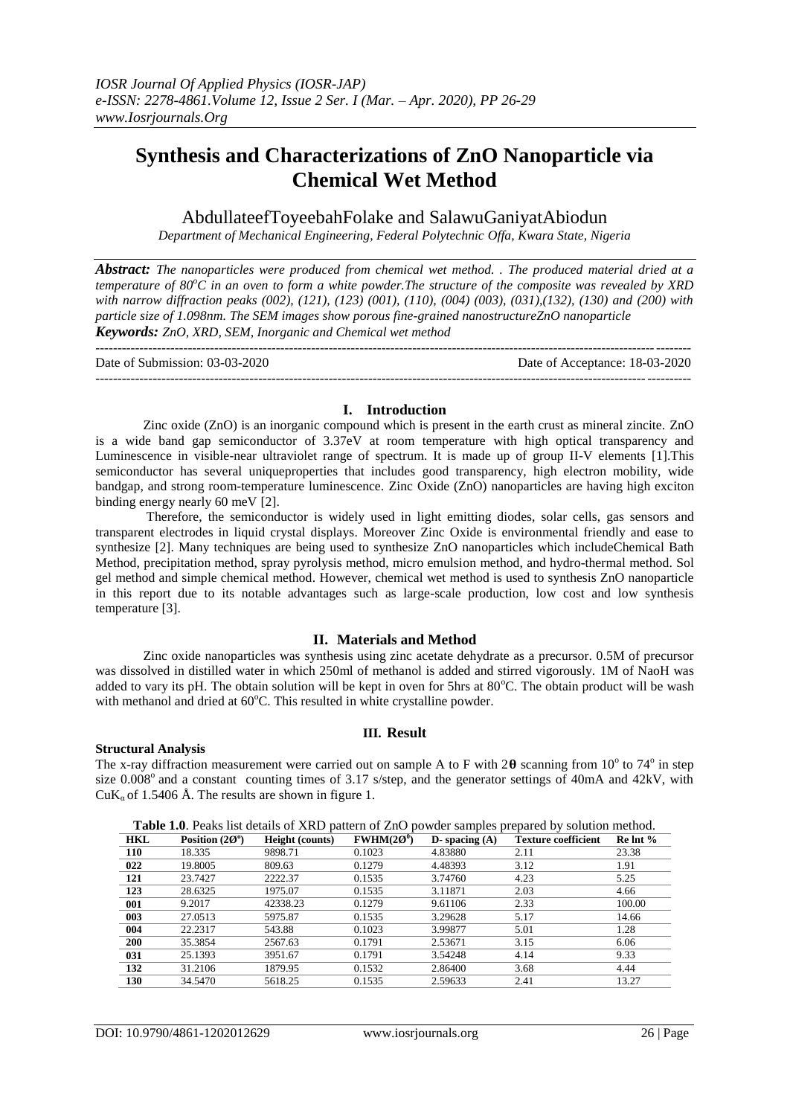# **Synthesis and Characterizations of ZnO Nanoparticle via Chemical Wet Method**

# AbdullateefToyeebahFolake and SalawuGaniyatAbiodun

*Department of Mechanical Engineering, Federal Polytechnic Offa, Kwara State, Nigeria*

*Abstract: The nanoparticles were produced from chemical wet method. . The produced material dried at a temperature of 80<sup>o</sup>C in an oven to form a white powder.The structure of the composite was revealed by XRD with narrow diffraction peaks (002), (121), (123) (001), (110), (004) (003), (031),(132), (130) and (200) with particle size of 1.098nm. The SEM images show porous fine-grained nanostructureZnO nanoparticle Keywords: ZnO, XRD, SEM, Inorganic and Chemical wet method*

--------------------------------------------------------------------------------------------------------------------------------------- Date of Submission: 03-03-2020 Date of Acceptance: 18-03-2020  $-1-\frac{1}{2}$ 

## **I. Introduction**

Zinc oxide (ZnO) is an inorganic compound which is present in the earth crust as mineral zincite. ZnO is a wide band gap semiconductor of 3.37eV at room temperature with high optical transparency and Luminescence in visible-near ultraviolet range of spectrum. It is made up of group II-V elements [1].This semiconductor has several uniqueproperties that includes good transparency, high electron mobility, wide bandgap, and strong room-temperature luminescence. Zinc Oxide (ZnO) nanoparticles are having high exciton binding energy nearly 60 meV [2].

Therefore, the semiconductor is widely used in light emitting diodes, solar cells, gas sensors and transparent electrodes in liquid crystal displays. Moreover Zinc Oxide is environmental friendly and ease to synthesize [2]. Many techniques are being used to synthesize ZnO nanoparticles which includeChemical Bath Method, precipitation method, spray pyrolysis method, micro emulsion method, and hydro-thermal method. Sol gel method and simple chemical method. However, chemical wet method is used to synthesis ZnO nanoparticle in this report due to its notable advantages such as large-scale production, low cost and low synthesis temperature [3].

# **II. Materials and Method**

Zinc oxide nanoparticles was synthesis using zinc acetate dehydrate as a precursor. 0.5M of precursor was dissolved in distilled water in which 250ml of methanol is added and stirred vigorously. 1M of NaoH was added to vary its pH. The obtain solution will be kept in oven for 5hrs at  $80^{\circ}$ C. The obtain product will be wash with methanol and dried at  $60^{\circ}$ C. This resulted in white crystalline powder.

## **III. Result**

## **Structural Analysis**

The x-ray diffraction measurement were carried out on sample A to F with  $2\theta$  scanning from  $10^{\circ}$  to  $74^{\circ}$  in step size  $0.008^{\circ}$  and a constant counting times of 3.17 s/step, and the generator settings of 40mA and 42kV, with  $CuK<sub>a</sub>$  of 1.5406 Å. The results are shown in figure 1.

| <b>HKL</b> | Position $(20^{\circ})$ | <b>Height</b> (counts) | $FWHM(20^0)$ | D- spacing $(A)$ | <b>Texture coefficient</b> | $Re Int \%$ |
|------------|-------------------------|------------------------|--------------|------------------|----------------------------|-------------|
| 110        | 18.335                  | 9898.71                | 0.1023       | 4.83880          | 2.11                       | 23.38       |
| 022        | 19.8005                 | 809.63                 | 0.1279       | 4.48393          | 3.12                       | 1.91        |
| 121        | 23.7427                 | 2222.37                | 0.1535       | 3.74760          | 4.23                       | 5.25        |
| 123        | 28.6325                 | 1975.07                | 0.1535       | 3.11871          | 2.03                       | 4.66        |
| 001        | 9.2017                  | 42338.23               | 0.1279       | 9.61106          | 2.33                       | 100.00      |
| 003        | 27.0513                 | 5975.87                | 0.1535       | 3.29628          | 5.17                       | 14.66       |
| 004        | 22.2317                 | 543.88                 | 0.1023       | 3.99877          | 5.01                       | 1.28        |
| 200        | 35.3854                 | 2567.63                | 0.1791       | 2.53671          | 3.15                       | 6.06        |
| 031        | 25.1393                 | 3951.67                | 0.1791       | 3.54248          | 4.14                       | 9.33        |
| 132        | 31.2106                 | 1879.95                | 0.1532       | 2.86400          | 3.68                       | 4.44        |
| 130        | 34.5470                 | 5618.25                | 0.1535       | 2.59633          | 2.41                       | 13.27       |

**Table 1.0**. Peaks list details of XRD pattern of ZnO powder samples prepared by solution method.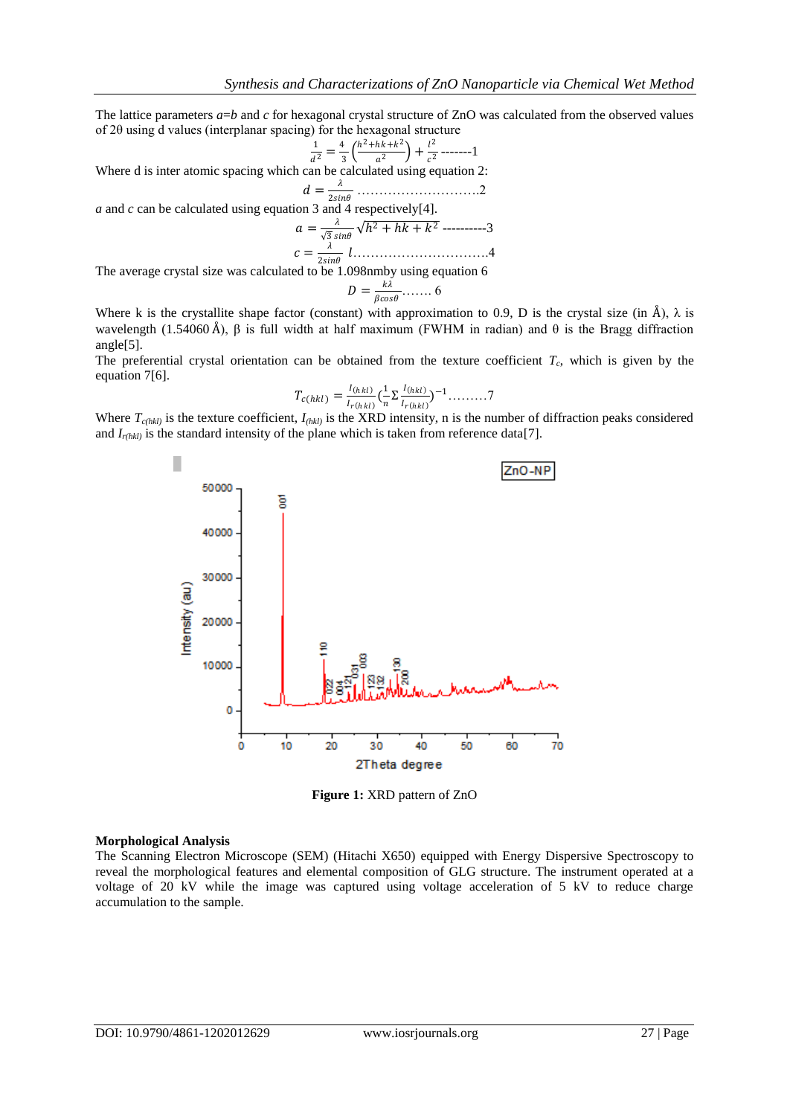The lattice parameters  $a=b$  and  $c$  for hexagonal crystal structure of ZnO was calculated from the observed values of 2θ using d values (interplanar spacing) for the hexagonal structure

$$
\frac{1}{a^2} = \frac{4}{3} \left( \frac{h^2 + hk + k^2}{a^2} \right) + \frac{l^2}{c^2} \dots - 1
$$

Where d is inter atomic spacing which can be calculated using equation 2:

$$
d=\frac{\lambda}{2\sin\theta} \dots \dots \dots \dots \dots \dots \dots \dots \dots \dots \dots 2
$$

*a* and *c* can be calculated using equation 3 and 4 respectively[4].

$$
a = \frac{\lambda}{\sqrt{3}\sin\theta} \sqrt{h^2 + hk + k^2}
$$
............3  

$$
c = \frac{\lambda}{2\sin\theta} l
$$
............4

The average crystal size was calculated to be 1.098nmby using equation 6

$$
D=\frac{k\lambda}{\beta cos\theta}.
$$

Where k is the crystallite shape factor (constant) with approximation to 0.9, D is the crystal size (in Å),  $\lambda$  is wavelength (1.54060 Å), β is full width at half maximum (FWHM in radian) and θ is the Bragg diffraction angle[5].

The preferential crystal orientation can be obtained from the texture coefficient  $T_c$ , which is given by the equation 7[6].

$$
T_{c(hkl)} = \frac{I_{(hkl)}}{I_{r(hkl)}} \left(\frac{1}{n} \sum \frac{I_{(hkl)}}{I_{r(hkl)}}\right)^{-1} \dots \dots .7
$$

Where  $T_{c(hkl)}$  is the texture coefficient,  $I_{(hkl)}$  is the XRD intensity, n is the number of diffraction peaks considered and  $I_{r(hkl)}$  is the standard intensity of the plane which is taken from reference data[7].



**Figure 1:** XRD pattern of ZnO

#### **Morphological Analysis**

The Scanning Electron Microscope (SEM) (Hitachi X650) equipped with Energy Dispersive Spectroscopy to reveal the morphological features and elemental composition of GLG structure. The instrument operated at a voltage of 20 kV while the image was captured using voltage acceleration of 5 kV to reduce charge accumulation to the sample.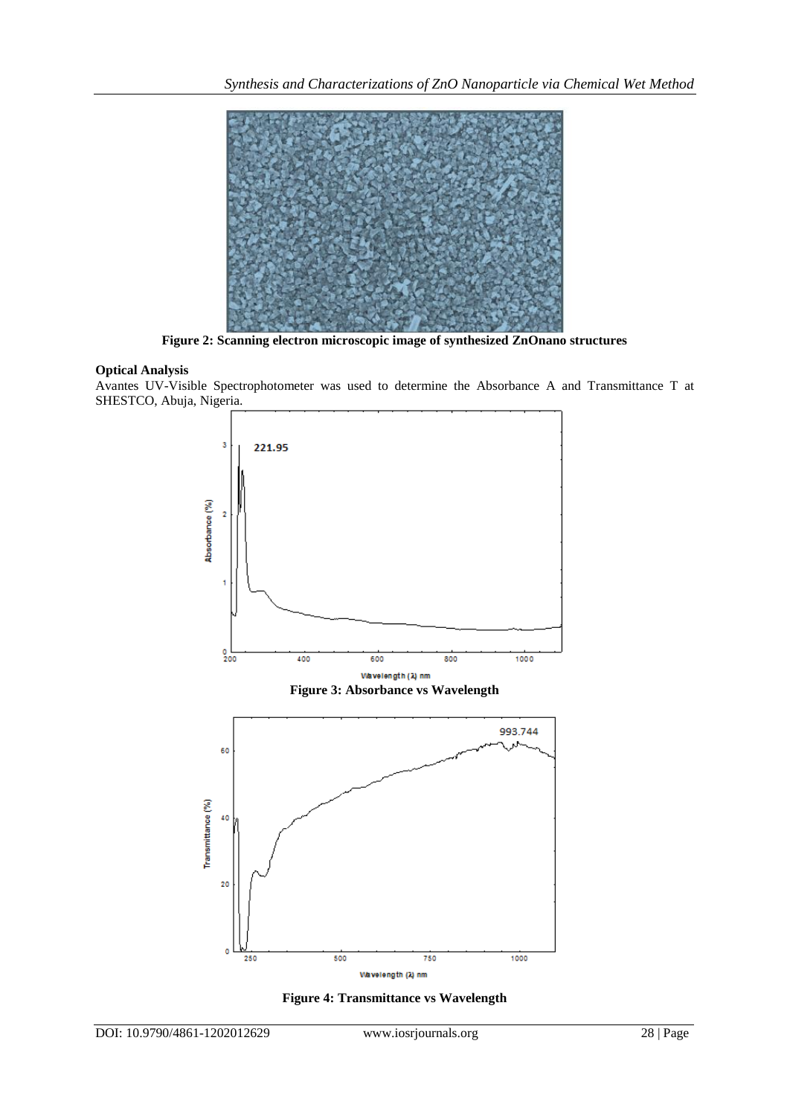

**Figure 2: Scanning electron microscopic image of synthesized ZnOnano structures**

# **Optical Analysis**

Avantes UV-Visible Spectrophotometer was used to determine the Absorbance A and Transmittance T at SHESTCO, Abuja, Nigeria.



**Figure 4: Transmittance vs Wavelength**